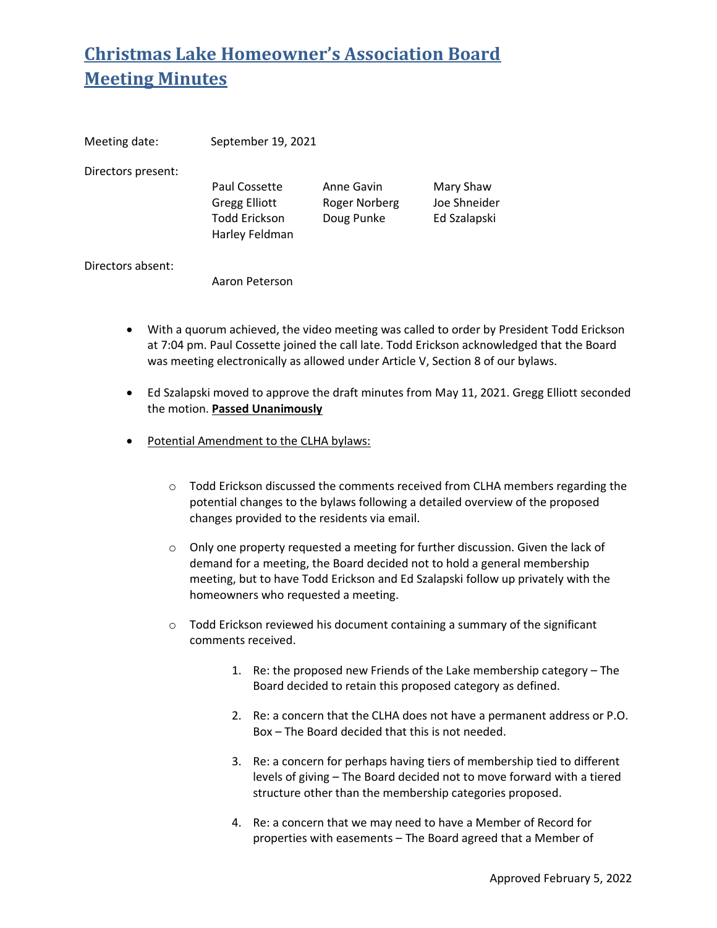| Meeting date:      | September 19, 2021                                                              |                                           |                                           |
|--------------------|---------------------------------------------------------------------------------|-------------------------------------------|-------------------------------------------|
| Directors present: | Paul Cossette<br><b>Gregg Elliott</b><br><b>Todd Erickson</b><br>Harley Feldman | Anne Gavin<br>Roger Norberg<br>Doug Punke | Mary Shaw<br>Joe Shneider<br>Ed Szalapski |
| Directors absent:  | Aaron Peterson                                                                  |                                           |                                           |

- With a quorum achieved, the video meeting was called to order by President Todd Erickson at 7:04 pm. Paul Cossette joined the call late. Todd Erickson acknowledged that the Board was meeting electronically as allowed under Article V, Section 8 of our bylaws.
- Ed Szalapski moved to approve the draft minutes from May 11, 2021. Gregg Elliott seconded the motion. **Passed Unanimously**
- Potential Amendment to the CLHA bylaws:
	- $\circ$  Todd Erickson discussed the comments received from CLHA members regarding the potential changes to the bylaws following a detailed overview of the proposed changes provided to the residents via email.
	- o Only one property requested a meeting for further discussion. Given the lack of demand for a meeting, the Board decided not to hold a general membership meeting, but to have Todd Erickson and Ed Szalapski follow up privately with the homeowners who requested a meeting.
	- o Todd Erickson reviewed his document containing a summary of the significant comments received.
		- 1. Re: the proposed new Friends of the Lake membership category The Board decided to retain this proposed category as defined.
		- 2. Re: a concern that the CLHA does not have a permanent address or P.O. Box – The Board decided that this is not needed.
		- 3. Re: a concern for perhaps having tiers of membership tied to different levels of giving – The Board decided not to move forward with a tiered structure other than the membership categories proposed.
		- 4. Re: a concern that we may need to have a Member of Record for properties with easements – The Board agreed that a Member of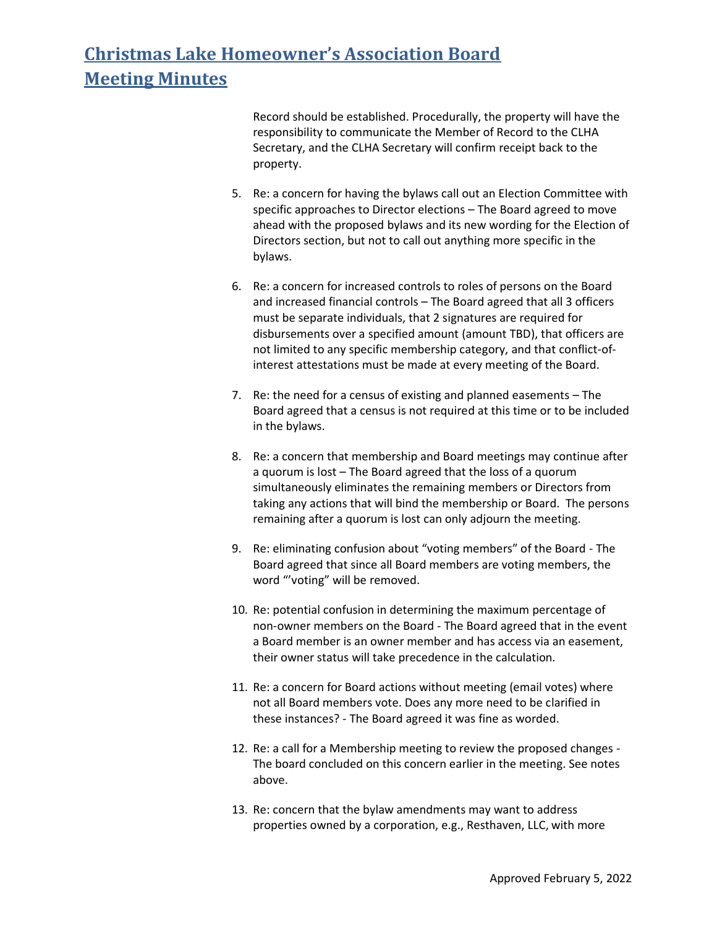Record should be established. Procedurally, the property will have the responsibility to communicate the Member of Record to the CLHA Secretary, and the CLHA Secretary will confirm receipt back to the property.

- 5. Re: a concern for having the bylaws call out an Election Committee with specific approaches to Director elections – The Board agreed to move ahead with the proposed bylaws and its new wording for the Election of Directors section, but not to call out anything more specific in the bylaws.
- 6. Re: a concern for increased controls to roles of persons on the Board and increased financial controls – The Board agreed that all 3 officers must be separate individuals, that 2 signatures are required for disbursements over a specified amount (amount TBD), that officers are not limited to any specific membership category, and that conflict-ofinterest attestations must be made at every meeting of the Board.
- 7. Re: the need for a census of existing and planned easements The Board agreed that a census is not required at this time or to be included in the bylaws.
- 8. Re: a concern that membership and Board meetings may continue after a quorum is lost – The Board agreed that the loss of a quorum simultaneously eliminates the remaining members or Directors from taking any actions that will bind the membership or Board. The persons remaining after a quorum is lost can only adjourn the meeting.
- 9. Re: eliminating confusion about "voting members" of the Board The Board agreed that since all Board members are voting members, the word "'voting" will be removed.
- 10. Re: potential confusion in determining the maximum percentage of non-owner members on the Board - The Board agreed that in the event a Board member is an owner member and has access via an easement, their owner status will take precedence in the calculation.
- 11. Re: a concern for Board actions without meeting (email votes) where not all Board members vote. Does any more need to be clarified in these instances? - The Board agreed it was fine as worded.
- 12. Re: a call for a Membership meeting to review the proposed changes The board concluded on this concern earlier in the meeting. See notes above.
- 13. Re: concern that the bylaw amendments may want to address properties owned by a corporation, e.g., Resthaven, LLC, with more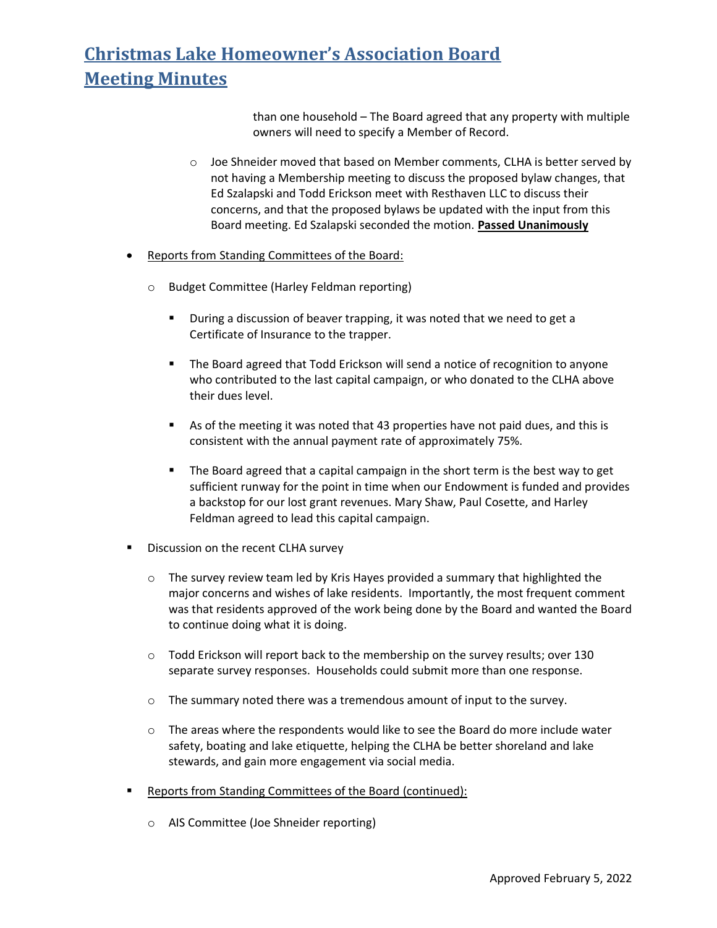than one household – The Board agreed that any property with multiple owners will need to specify a Member of Record.

- $\circ$  Joe Shneider moved that based on Member comments, CLHA is better served by not having a Membership meeting to discuss the proposed bylaw changes, that Ed Szalapski and Todd Erickson meet with Resthaven LLC to discuss their concerns, and that the proposed bylaws be updated with the input from this Board meeting. Ed Szalapski seconded the motion. **Passed Unanimously**
- Reports from Standing Committees of the Board:
	- o Budget Committee (Harley Feldman reporting)
		- During a discussion of beaver trapping, it was noted that we need to get a Certificate of Insurance to the trapper.
		- The Board agreed that Todd Erickson will send a notice of recognition to anyone who contributed to the last capital campaign, or who donated to the CLHA above their dues level.
		- As of the meeting it was noted that 43 properties have not paid dues, and this is consistent with the annual payment rate of approximately 75%.
		- The Board agreed that a capital campaign in the short term is the best way to get sufficient runway for the point in time when our Endowment is funded and provides a backstop for our lost grant revenues. Mary Shaw, Paul Cosette, and Harley Feldman agreed to lead this capital campaign.
- **Discussion on the recent CLHA survey** 
	- $\circ$  The survey review team led by Kris Hayes provided a summary that highlighted the major concerns and wishes of lake residents. Importantly, the most frequent comment was that residents approved of the work being done by the Board and wanted the Board to continue doing what it is doing.
	- $\circ$  Todd Erickson will report back to the membership on the survey results; over 130 separate survey responses. Households could submit more than one response.
	- $\circ$  The summary noted there was a tremendous amount of input to the survey.
	- $\circ$  The areas where the respondents would like to see the Board do more include water safety, boating and lake etiquette, helping the CLHA be better shoreland and lake stewards, and gain more engagement via social media.
- Reports from Standing Committees of the Board (continued):
	- o AIS Committee (Joe Shneider reporting)